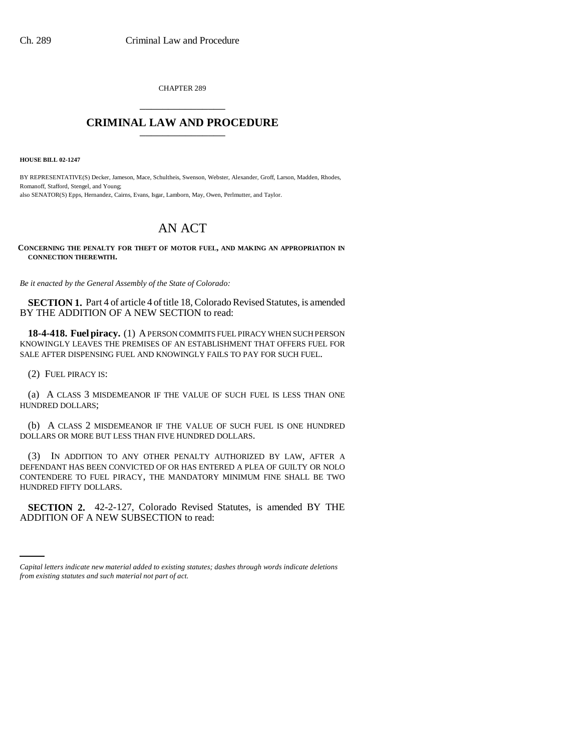CHAPTER 289 \_\_\_\_\_\_\_\_\_\_\_\_\_\_\_

## **CRIMINAL LAW AND PROCEDURE** \_\_\_\_\_\_\_\_\_\_\_\_\_\_\_

**HOUSE BILL 02-1247**

BY REPRESENTATIVE(S) Decker, Jameson, Mace, Schultheis, Swenson, Webster, Alexander, Groff, Larson, Madden, Rhodes, Romanoff, Stafford, Stengel, and Young; also SENATOR(S) Epps, Hernandez, Cairns, Evans, Isgar, Lamborn, May, Owen, Perlmutter, and Taylor.

## AN ACT

**CONCERNING THE PENALTY FOR THEFT OF MOTOR FUEL, AND MAKING AN APPROPRIATION IN CONNECTION THEREWITH.**

*Be it enacted by the General Assembly of the State of Colorado:*

**SECTION 1.** Part 4 of article 4 of title 18, Colorado Revised Statutes, is amended BY THE ADDITION OF A NEW SECTION to read:

**18-4-418. Fuel piracy.** (1) A PERSON COMMITS FUEL PIRACY WHEN SUCH PERSON KNOWINGLY LEAVES THE PREMISES OF AN ESTABLISHMENT THAT OFFERS FUEL FOR SALE AFTER DISPENSING FUEL AND KNOWINGLY FAILS TO PAY FOR SUCH FUEL.

(2) FUEL PIRACY IS:

(a) A CLASS 3 MISDEMEANOR IF THE VALUE OF SUCH FUEL IS LESS THAN ONE HUNDRED DOLLARS;

(b) A CLASS 2 MISDEMEANOR IF THE VALUE OF SUCH FUEL IS ONE HUNDRED DOLLARS OR MORE BUT LESS THAN FIVE HUNDRED DOLLARS.

(3) IN ADDITION TO ANY OTHER PENALTY AUTHORIZED BY LAW, AFTER A DEFENDANT HAS BEEN CONVICTED OF OR HAS ENTERED A PLEA OF GUILTY OR NOLO CONTENDERE TO FUEL PIRACY, THE MANDATORY MINIMUM FINE SHALL BE TWO HUNDRED FIFTY DOLLARS.

 **SECTION 2.** 42-2-127, Colorado Revised Statutes, is amended BY THE ADDITION OF A NEW SUBSECTION to read:

*Capital letters indicate new material added to existing statutes; dashes through words indicate deletions from existing statutes and such material not part of act.*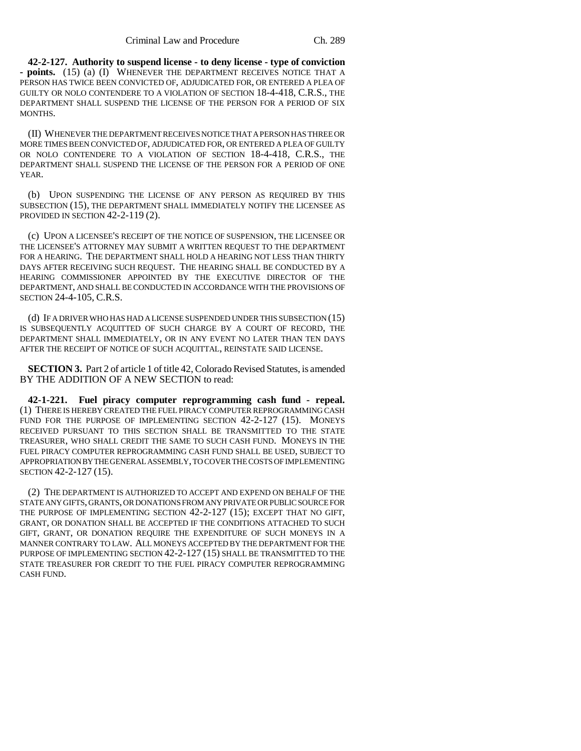**42-2-127. Authority to suspend license - to deny license - type of conviction - points.** (15) (a) (I) WHENEVER THE DEPARTMENT RECEIVES NOTICE THAT A PERSON HAS TWICE BEEN CONVICTED OF, ADJUDICATED FOR, OR ENTERED A PLEA OF GUILTY OR NOLO CONTENDERE TO A VIOLATION OF SECTION 18-4-418, C.R.S., THE DEPARTMENT SHALL SUSPEND THE LICENSE OF THE PERSON FOR A PERIOD OF SIX MONTHS.

(II) WHENEVER THE DEPARTMENT RECEIVES NOTICE THAT A PERSON HAS THREE OR MORE TIMES BEEN CONVICTED OF, ADJUDICATED FOR, OR ENTERED A PLEA OF GUILTY OR NOLO CONTENDERE TO A VIOLATION OF SECTION 18-4-418, C.R.S., THE DEPARTMENT SHALL SUSPEND THE LICENSE OF THE PERSON FOR A PERIOD OF ONE YEAR.

(b) UPON SUSPENDING THE LICENSE OF ANY PERSON AS REQUIRED BY THIS SUBSECTION (15), THE DEPARTMENT SHALL IMMEDIATELY NOTIFY THE LICENSEE AS PROVIDED IN SECTION 42-2-119 (2).

(c) UPON A LICENSEE'S RECEIPT OF THE NOTICE OF SUSPENSION, THE LICENSEE OR THE LICENSEE'S ATTORNEY MAY SUBMIT A WRITTEN REQUEST TO THE DEPARTMENT FOR A HEARING. THE DEPARTMENT SHALL HOLD A HEARING NOT LESS THAN THIRTY DAYS AFTER RECEIVING SUCH REQUEST. THE HEARING SHALL BE CONDUCTED BY A HEARING COMMISSIONER APPOINTED BY THE EXECUTIVE DIRECTOR OF THE DEPARTMENT, AND SHALL BE CONDUCTED IN ACCORDANCE WITH THE PROVISIONS OF SECTION 24-4-105, C.R.S.

(d) IF A DRIVER WHO HAS HAD A LICENSE SUSPENDED UNDER THIS SUBSECTION (15) IS SUBSEQUENTLY ACQUITTED OF SUCH CHARGE BY A COURT OF RECORD, THE DEPARTMENT SHALL IMMEDIATELY, OR IN ANY EVENT NO LATER THAN TEN DAYS AFTER THE RECEIPT OF NOTICE OF SUCH ACQUITTAL, REINSTATE SAID LICENSE.

**SECTION 3.** Part 2 of article 1 of title 42, Colorado Revised Statutes, is amended BY THE ADDITION OF A NEW SECTION to read:

**42-1-221. Fuel piracy computer reprogramming cash fund - repeal.** (1) THERE IS HEREBY CREATED THE FUEL PIRACY COMPUTER REPROGRAMMING CASH FUND FOR THE PURPOSE OF IMPLEMENTING SECTION 42-2-127 (15). MONEYS RECEIVED PURSUANT TO THIS SECTION SHALL BE TRANSMITTED TO THE STATE TREASURER, WHO SHALL CREDIT THE SAME TO SUCH CASH FUND. MONEYS IN THE FUEL PIRACY COMPUTER REPROGRAMMING CASH FUND SHALL BE USED, SUBJECT TO APPROPRIATION BY THE GENERAL ASSEMBLY, TO COVER THE COSTS OF IMPLEMENTING SECTION 42-2-127 (15).

(2) THE DEPARTMENT IS AUTHORIZED TO ACCEPT AND EXPEND ON BEHALF OF THE STATE ANY GIFTS, GRANTS, OR DONATIONS FROM ANY PRIVATE OR PUBLIC SOURCE FOR THE PURPOSE OF IMPLEMENTING SECTION 42-2-127 (15); EXCEPT THAT NO GIFT, GRANT, OR DONATION SHALL BE ACCEPTED IF THE CONDITIONS ATTACHED TO SUCH GIFT, GRANT, OR DONATION REQUIRE THE EXPENDITURE OF SUCH MONEYS IN A MANNER CONTRARY TO LAW. ALL MONEYS ACCEPTED BY THE DEPARTMENT FOR THE PURPOSE OF IMPLEMENTING SECTION 42-2-127 (15) SHALL BE TRANSMITTED TO THE STATE TREASURER FOR CREDIT TO THE FUEL PIRACY COMPUTER REPROGRAMMING CASH FUND.